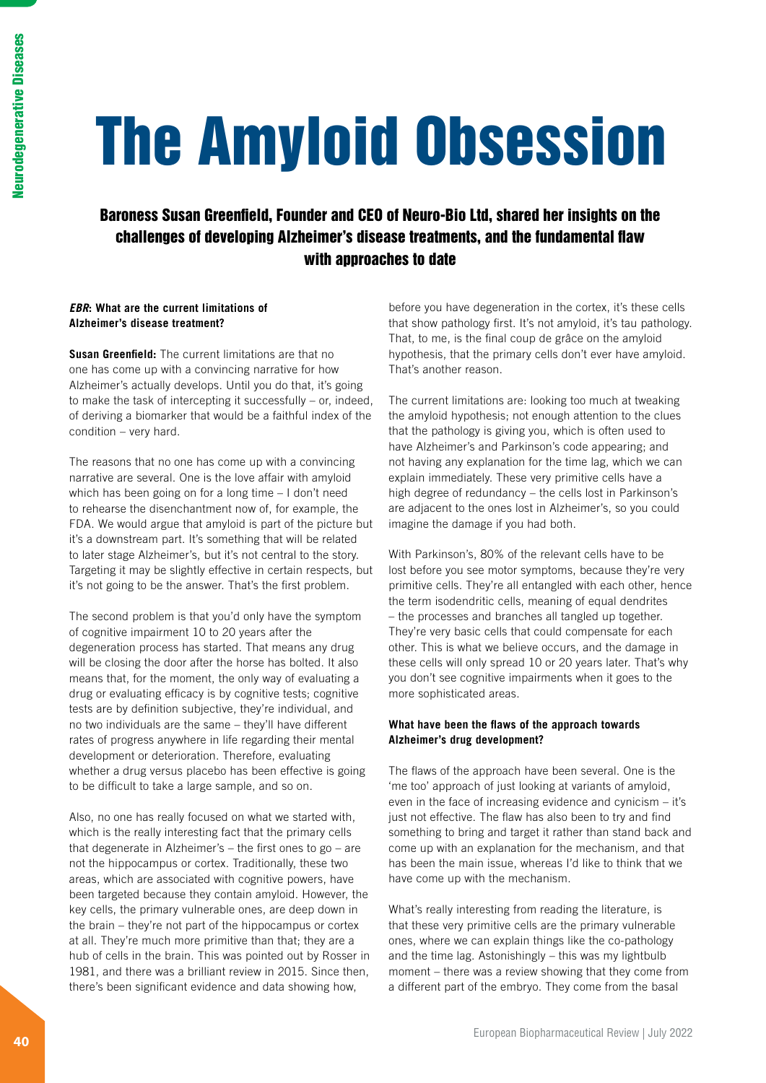# The Amyloid Obsession

# Baroness Susan Greenfield, Founder and CEO of Neuro-Bio Ltd, shared her insights on the challenges of developing Alzheimer's disease treatments, and the fundamental flaw with approaches to date

# *EBR***: What are the current limitations of Alzheimer's disease treatment?**

**Susan Greenfield:** The current limitations are that no one has come up with a convincing narrative for how Alzheimer's actually develops. Until you do that, it's going to make the task of intercepting it successfully – or, indeed, of deriving a biomarker that would be a faithful index of the condition – very hard.

The reasons that no one has come up with a convincing narrative are several. One is the love affair with amyloid which has been going on for a long time – I don't need to rehearse the disenchantment now of, for example, the FDA. We would argue that amyloid is part of the picture but it's a downstream part. It's something that will be related to later stage Alzheimer's, but it's not central to the story. Targeting it may be slightly effective in certain respects, but it's not going to be the answer. That's the first problem.

The second problem is that you'd only have the symptom of cognitive impairment 10 to 20 years after the degeneration process has started. That means any drug will be closing the door after the horse has bolted. It also means that, for the moment, the only way of evaluating a drug or evaluating efficacy is by cognitive tests; cognitive tests are by definition subjective, they're individual, and no two individuals are the same – they'll have different rates of progress anywhere in life regarding their mental development or deterioration. Therefore, evaluating whether a drug versus placebo has been effective is going to be difficult to take a large sample, and so on.

Also, no one has really focused on what we started with, which is the really interesting fact that the primary cells that degenerate in Alzheimer's – the first ones to go – are not the hippocampus or cortex. Traditionally, these two areas, which are associated with cognitive powers, have been targeted because they contain amyloid. However, the key cells, the primary vulnerable ones, are deep down in the brain – they're not part of the hippocampus or cortex at all. They're much more primitive than that; they are a hub of cells in the brain. This was pointed out by Rosser in 1981, and there was a brilliant review in 2015. Since then, there's been significant evidence and data showing how,

before you have degeneration in the cortex, it's these cells that show pathology first. It's not amyloid, it's tau pathology. That, to me, is the final coup de grâce on the amyloid hypothesis, that the primary cells don't ever have amyloid. That's another reason.

The current limitations are: looking too much at tweaking the amyloid hypothesis; not enough attention to the clues that the pathology is giving you, which is often used to have Alzheimer's and Parkinson's code appearing; and not having any explanation for the time lag, which we can explain immediately. These very primitive cells have a high degree of redundancy – the cells lost in Parkinson's are adjacent to the ones lost in Alzheimer's, so you could imagine the damage if you had both.

With Parkinson's, 80% of the relevant cells have to be lost before you see motor symptoms, because they're very primitive cells. They're all entangled with each other, hence the term isodendritic cells, meaning of equal dendrites – the processes and branches all tangled up together. They're very basic cells that could compensate for each other. This is what we believe occurs, and the damage in these cells will only spread 10 or 20 years later. That's why you don't see cognitive impairments when it goes to the more sophisticated areas.

# **What have been the flaws of the approach towards Alzheimer's drug development?**

The flaws of the approach have been several. One is the 'me too' approach of just looking at variants of amyloid, even in the face of increasing evidence and cynicism – it's just not effective. The flaw has also been to try and find something to bring and target it rather than stand back and come up with an explanation for the mechanism, and that has been the main issue, whereas I'd like to think that we have come up with the mechanism.

What's really interesting from reading the literature, is that these very primitive cells are the primary vulnerable ones, where we can explain things like the co-pathology and the time lag. Astonishingly – this was my lightbulb moment – there was a review showing that they come from a different part of the embryo. They come from the basal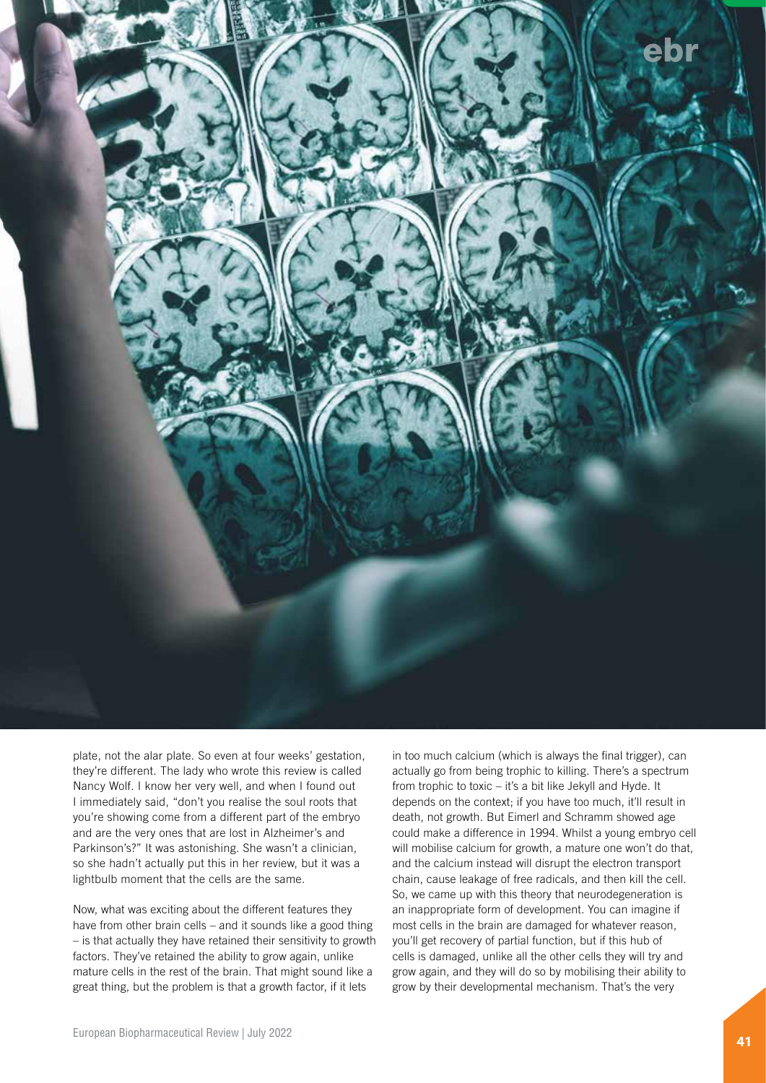

plate, not the alar plate. So even at four weeks' gestation, they're different. The lady who wrote this review is called Nancy Wolf. I know her very well, and when I found out I immediately said, "don't you realise the soul roots that you're showing come from a different part of the embryo and are the very ones that are lost in Alzheimer's and Parkinson's?" It was astonishing. She wasn't a clinician, so she hadn't actually put this in her review, but it was a lightbulb moment that the cells are the same.

Now, what was exciting about the different features they have from other brain cells – and it sounds like a good thing – is that actually they have retained their sensitivity to growth factors. They've retained the ability to grow again, unlike mature cells in the rest of the brain. That might sound like a great thing, but the problem is that a growth factor, if it lets

in too much calcium (which is always the final trigger), can actually go from being trophic to killing. There's a spectrum from trophic to toxic – it's a bit like Jekyll and Hyde. It depends on the context; if you have too much, it'll result in death, not growth. But Eimerl and Schramm showed age could make a difference in 1994. Whilst a young embryo cell will mobilise calcium for growth, a mature one won't do that, and the calcium instead will disrupt the electron transport chain, cause leakage of free radicals, and then kill the cell. So, we came up with this theory that neurodegeneration is an inappropriate form of development. You can imagine if most cells in the brain are damaged for whatever reason, you'll get recovery of partial function, but if this hub of cells is damaged, unlike all the other cells they will try and grow again, and they will do so by mobilising their ability to grow by their developmental mechanism. That's the very